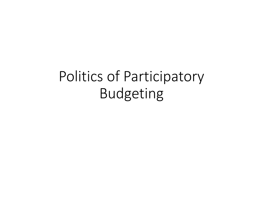Politics of Participatory Budgeting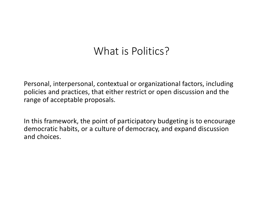#### What is Politics?

Personal, interpersonal, contextual or organizational factors, including policies and practices, that either restrict or open discussion and the range of acceptable proposals.

In this framework, the point of participatory budgeting is to encourage democratic habits, or a culture of democracy, and expand discussion and choices.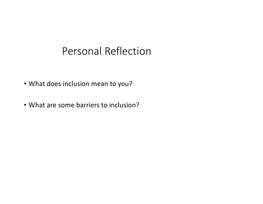#### Personal Reflection

- What does inclusion mean to you?
- What are some barriers to inclusion?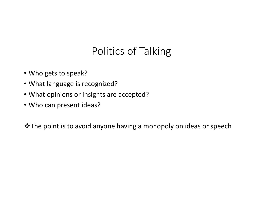# Politics of Talking

- Who gets to speak?
- What language is recognized?
- What opinions or insights are accepted?
- Who can present ideas?

vThe point is to avoid anyone having a monopoly on ideas or speech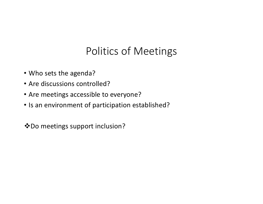## Politics of Meetings

- Who sets the agenda?
- Are discussions controlled?
- Are meetings accessible to everyone?
- Is an environment of participation established?

**\*** Do meetings support inclusion?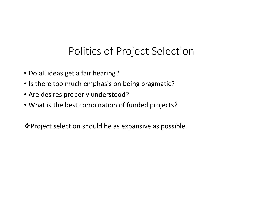### Politics of Project Selection

- Do all ideas get a fair hearing?
- Is there too much emphasis on being pragmatic?
- Are desires properly understood?
- What is the best combination of funded projects?

❖ Project selection should be as expansive as possible.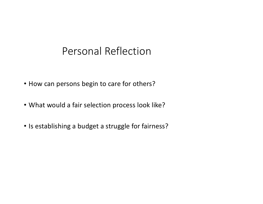#### Personal Reflection

- How can persons begin to care for others?
- What would a fair selection process look like?
- Is establishing a budget a struggle for fairness?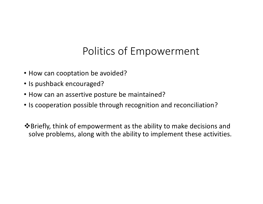### Politics of Empowerment

- How can cooptation be avoided?
- Is pushback encouraged?
- How can an assertive posture be maintained?
- Is cooperation possible through recognition and reconciliation?

**\*** Briefly, think of empowerment as the ability to make decisions and solve problems, along with the ability to implement these activities.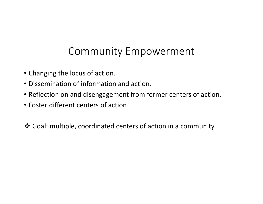### Community Empowerment

- Changing the locus of action.
- Dissemination of information and action.
- Reflection on and disengagement from former centers of action.
- Foster different centers of action

v Goal: multiple, coordinated centers of action in a community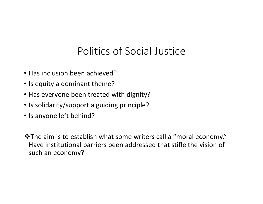### Politics of Social Justice

- Has inclusion been achieved?
- Is equity a dominant theme?
- Has everyone been treated with dignity?
- Is solidarity/support a guiding principle?
- Is anyone left behind?

\* The aim is to establish what some writers call a "moral economy." Have institutional barriers been addressed that stifle the vision of such an economy?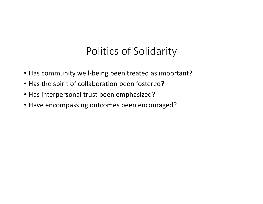### Politics of Solidarity

- Has community well-being been treated as important?
- Has the spirit of collaboration been fostered?
- Has interpersonal trust been emphasized?
- Have encompassing outcomes been encouraged?